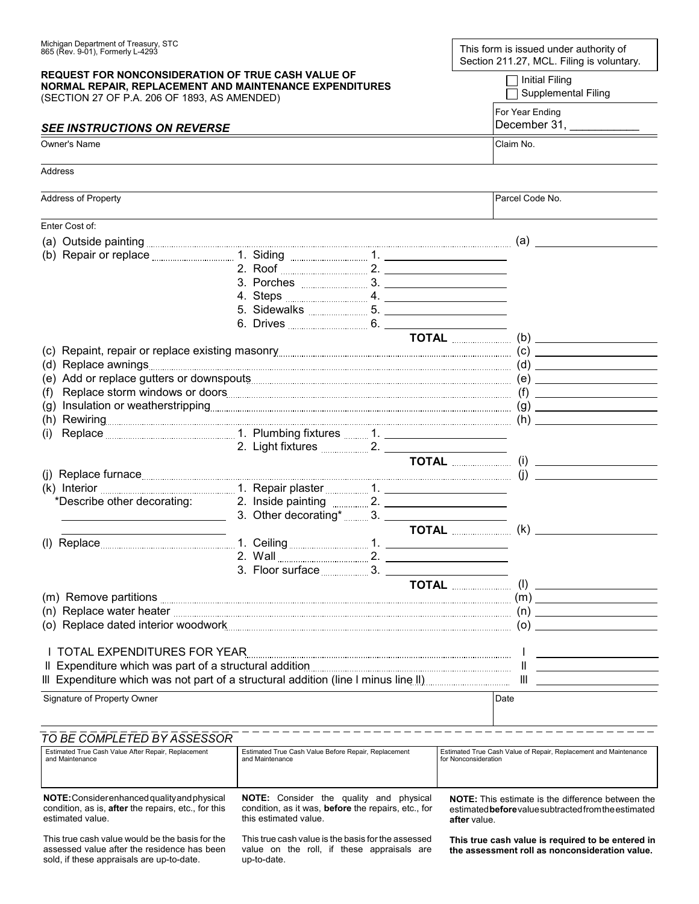| Michigan Department of Treasury, STC<br>865 (Rev. 9-01), Formerly L-4293<br><b>REQUEST FOR NONCONSIDERATION OF TRUE CASH VALUE OF</b><br>NORMAL REPAIR, REPLACEMENT AND MAINTENANCE EXPENDITURES<br>(SECTION 27 OF P.A. 206 OF 1893, AS AMENDED)<br><b>SEE INSTRUCTIONS ON REVERSE</b><br>Owner's Name |  |                     | This form is issued under authority of<br>Section 211.27, MCL. Filing is voluntary.<br><b>Initial Filing</b><br>Supplemental Filing<br>For Year Ending<br>December 31, ______________<br>Claim No. |                     |  |  |                 |
|--------------------------------------------------------------------------------------------------------------------------------------------------------------------------------------------------------------------------------------------------------------------------------------------------------|--|---------------------|----------------------------------------------------------------------------------------------------------------------------------------------------------------------------------------------------|---------------------|--|--|-----------------|
|                                                                                                                                                                                                                                                                                                        |  |                     |                                                                                                                                                                                                    | Address             |  |  |                 |
|                                                                                                                                                                                                                                                                                                        |  |                     |                                                                                                                                                                                                    | Address of Property |  |  | Parcel Code No. |
|                                                                                                                                                                                                                                                                                                        |  |                     |                                                                                                                                                                                                    | Enter Cost of:      |  |  |                 |
| (a) Outside painting <b>contract and the contract of the contract of the contract of the contract of the contract of the contract of the contract of the contract of the contract of the contract of the contract of the contrac</b>                                                                   |  |                     |                                                                                                                                                                                                    |                     |  |  |                 |
|                                                                                                                                                                                                                                                                                                        |  |                     |                                                                                                                                                                                                    |                     |  |  |                 |
|                                                                                                                                                                                                                                                                                                        |  |                     |                                                                                                                                                                                                    |                     |  |  |                 |
|                                                                                                                                                                                                                                                                                                        |  |                     |                                                                                                                                                                                                    |                     |  |  |                 |
|                                                                                                                                                                                                                                                                                                        |  |                     |                                                                                                                                                                                                    |                     |  |  |                 |
|                                                                                                                                                                                                                                                                                                        |  |                     |                                                                                                                                                                                                    |                     |  |  |                 |
|                                                                                                                                                                                                                                                                                                        |  |                     |                                                                                                                                                                                                    |                     |  |  |                 |
|                                                                                                                                                                                                                                                                                                        |  |                     |                                                                                                                                                                                                    |                     |  |  |                 |
|                                                                                                                                                                                                                                                                                                        |  |                     |                                                                                                                                                                                                    |                     |  |  |                 |
|                                                                                                                                                                                                                                                                                                        |  |                     |                                                                                                                                                                                                    |                     |  |  |                 |
|                                                                                                                                                                                                                                                                                                        |  |                     |                                                                                                                                                                                                    |                     |  |  |                 |
| (f)                                                                                                                                                                                                                                                                                                    |  |                     |                                                                                                                                                                                                    |                     |  |  |                 |
|                                                                                                                                                                                                                                                                                                        |  |                     |                                                                                                                                                                                                    |                     |  |  |                 |
| (i)                                                                                                                                                                                                                                                                                                    |  |                     |                                                                                                                                                                                                    |                     |  |  |                 |
|                                                                                                                                                                                                                                                                                                        |  |                     |                                                                                                                                                                                                    |                     |  |  |                 |
|                                                                                                                                                                                                                                                                                                        |  |                     |                                                                                                                                                                                                    |                     |  |  |                 |
|                                                                                                                                                                                                                                                                                                        |  |                     |                                                                                                                                                                                                    |                     |  |  |                 |
|                                                                                                                                                                                                                                                                                                        |  |                     |                                                                                                                                                                                                    |                     |  |  |                 |
|                                                                                                                                                                                                                                                                                                        |  |                     |                                                                                                                                                                                                    |                     |  |  |                 |
|                                                                                                                                                                                                                                                                                                        |  |                     |                                                                                                                                                                                                    |                     |  |  |                 |
|                                                                                                                                                                                                                                                                                                        |  |                     |                                                                                                                                                                                                    |                     |  |  |                 |
| (l) Replace TOTAL TOTAL TOTAL TOTAL TOTAL TOTAL TOTAL TOTAL TOTAL TOTAL TOTAL TOTAL TOTAL TOTAL TO TAL                                                                                                                                                                                                 |  |                     |                                                                                                                                                                                                    |                     |  |  |                 |
|                                                                                                                                                                                                                                                                                                        |  |                     |                                                                                                                                                                                                    |                     |  |  |                 |
|                                                                                                                                                                                                                                                                                                        |  | 3. Floor surface 3. |                                                                                                                                                                                                    |                     |  |  |                 |
|                                                                                                                                                                                                                                                                                                        |  |                     |                                                                                                                                                                                                    |                     |  |  |                 |
|                                                                                                                                                                                                                                                                                                        |  |                     |                                                                                                                                                                                                    |                     |  |  |                 |
|                                                                                                                                                                                                                                                                                                        |  |                     |                                                                                                                                                                                                    |                     |  |  |                 |
|                                                                                                                                                                                                                                                                                                        |  |                     | (o) Replace dated interior woodwork <b>Commission Commission Commission</b> (0) (0) (0)                                                                                                            |                     |  |  |                 |
|                                                                                                                                                                                                                                                                                                        |  |                     |                                                                                                                                                                                                    |                     |  |  |                 |
| I TOTAL EXPENDITURES FOR YEAR <b>Example 2018</b> Contract the U.S. of the U.S. of the U.S. of the U.S. of the U.S. of the U.S. of the U.S. of the U.S. of the U.S. of the U.S. of the U.S. of the U.S. of the U.S. of the U.S. of                                                                     |  |                     |                                                                                                                                                                                                    |                     |  |  |                 |
|                                                                                                                                                                                                                                                                                                        |  |                     |                                                                                                                                                                                                    |                     |  |  |                 |
|                                                                                                                                                                                                                                                                                                        |  |                     | III Expenditure which was not part of a structural addition (line I minus line II) <b>Supplem Conservation</b> III <b>Conservation</b>                                                             |                     |  |  |                 |
| Signature of Property Owner                                                                                                                                                                                                                                                                            |  |                     | Date                                                                                                                                                                                               |                     |  |  |                 |
|                                                                                                                                                                                                                                                                                                        |  |                     |                                                                                                                                                                                                    |                     |  |  |                 |
|                                                                                                                                                                                                                                                                                                        |  |                     |                                                                                                                                                                                                    |                     |  |  |                 |
| TO BE COMPLETED BY ASSESSOR                                                                                                                                                                                                                                                                            |  |                     |                                                                                                                                                                                                    |                     |  |  |                 |

| Estimated True Cash Value After Repair, Replacement                                                                            | Estimated True Cash Value Before Repair, Replacement                                                                                           | Estimated True Cash Value of Repair, Replacement and Maintenance                                                                 |
|--------------------------------------------------------------------------------------------------------------------------------|------------------------------------------------------------------------------------------------------------------------------------------------|----------------------------------------------------------------------------------------------------------------------------------|
| and Maintenance                                                                                                                | and Maintenance                                                                                                                                | for Nonconsideration                                                                                                             |
| NOTE: Consider enhanced quality and physical<br>condition, as is, <b>after</b> the repairs, etc., for this<br>estimated value. | <b>NOTE:</b> Consider the<br>qualitv<br>and<br>physical<br>condition, as it was, <b>before</b> the repairs, etc., for<br>this estimated value. | <b>NOTE:</b> This estimate is the difference between the<br>estimated before value subtracted from the estimated<br>after value. |

This true cash value would be the basis for the assessed value after the residence has been sold, if these appraisals are up-to-date.

This true cash value is the basis for the assessed value on the roll, if these appraisals are up-to-date.

**This true cash value is required to be entered in the assessment roll as nonconsideration value.**